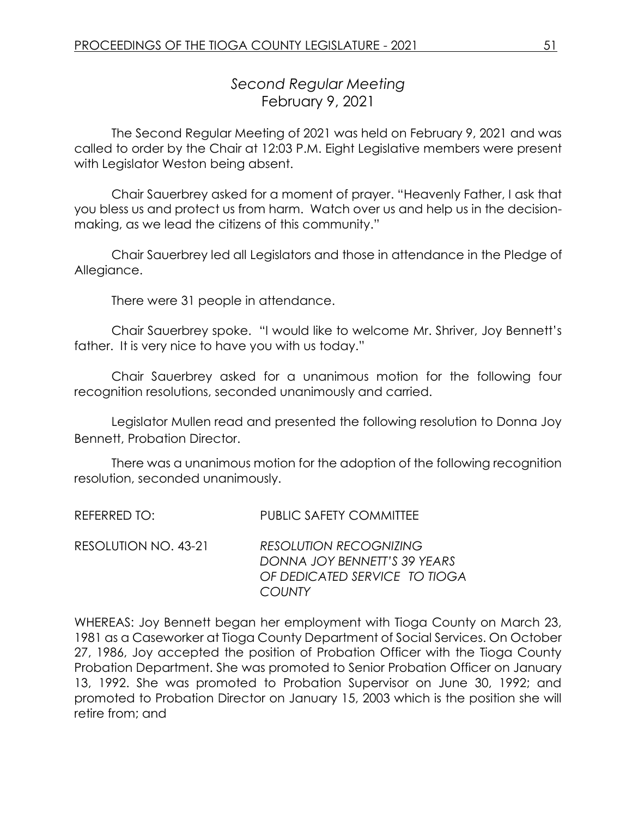# *Second Regular Meeting* February 9, 2021

The Second Regular Meeting of 2021 was held on February 9, 2021 and was called to order by the Chair at 12:03 P.M. Eight Legislative members were present with Legislator Weston being absent.

Chair Sauerbrey asked for a moment of prayer. "Heavenly Father, I ask that you bless us and protect us from harm. Watch over us and help us in the decisionmaking, as we lead the citizens of this community."

Chair Sauerbrey led all Legislators and those in attendance in the Pledge of Allegiance.

There were 31 people in attendance.

Chair Sauerbrey spoke. "I would like to welcome Mr. Shriver, Joy Bennett's father. It is very nice to have you with us today."

Chair Sauerbrey asked for a unanimous motion for the following four recognition resolutions, seconded unanimously and carried.

Legislator Mullen read and presented the following resolution to Donna Joy Bennett, Probation Director.

There was a unanimous motion for the adoption of the following recognition resolution, seconded unanimously.

REFERRED TO: PUBLIC SAFETY COMMITTEE

RESOLUTION NO. 43-21 *RESOLUTION RECOGNIZING DONNA JOY BENNETT'S 39 YEARS OF DEDICATED SERVICE TO TIOGA COUNTY*

WHEREAS: Joy Bennett began her employment with Tioga County on March 23, 1981 as a Caseworker at Tioga County Department of Social Services. On October 27, 1986, Joy accepted the position of Probation Officer with the Tioga County Probation Department. She was promoted to Senior Probation Officer on January 13, 1992. She was promoted to Probation Supervisor on June 30, 1992; and promoted to Probation Director on January 15, 2003 which is the position she will retire from; and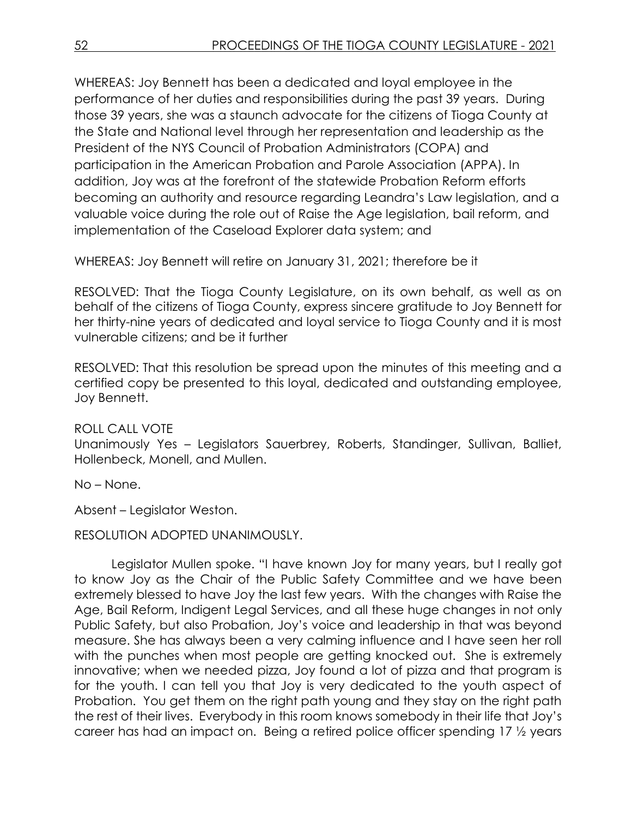WHEREAS: Joy Bennett has been a dedicated and loyal employee in the performance of her duties and responsibilities during the past 39 years. During those 39 years, she was a staunch advocate for the citizens of Tioga County at the State and National level through her representation and leadership as the President of the NYS Council of Probation Administrators (COPA) and participation in the American Probation and Parole Association (APPA). In addition, Joy was at the forefront of the statewide Probation Reform efforts becoming an authority and resource regarding Leandra's Law legislation, and a valuable voice during the role out of Raise the Age legislation, bail reform, and implementation of the Caseload Explorer data system; and

WHEREAS: Joy Bennett will retire on January 31, 2021; therefore be it

RESOLVED: That the Tioga County Legislature, on its own behalf, as well as on behalf of the citizens of Tioga County, express sincere gratitude to Joy Bennett for her thirty-nine years of dedicated and loyal service to Tioga County and it is most vulnerable citizens; and be it further

RESOLVED: That this resolution be spread upon the minutes of this meeting and a certified copy be presented to this loyal, dedicated and outstanding employee, Joy Bennett.

ROLL CALL VOTE

Unanimously Yes – Legislators Sauerbrey, Roberts, Standinger, Sullivan, Balliet, Hollenbeck, Monell, and Mullen.

No – None.

Absent – Legislator Weston.

RESOLUTION ADOPTED UNANIMOUSLY.

Legislator Mullen spoke. "I have known Joy for many years, but I really got to know Joy as the Chair of the Public Safety Committee and we have been extremely blessed to have Joy the last few years. With the changes with Raise the Age, Bail Reform, Indigent Legal Services, and all these huge changes in not only Public Safety, but also Probation, Joy's voice and leadership in that was beyond measure. She has always been a very calming influence and I have seen her roll with the punches when most people are getting knocked out. She is extremely innovative; when we needed pizza, Joy found a lot of pizza and that program is for the youth. I can tell you that Joy is very dedicated to the youth aspect of Probation. You get them on the right path young and they stay on the right path the rest of their lives. Everybody in this room knows somebody in their life that Joy's career has had an impact on. Being a retired police officer spending 17 ½ years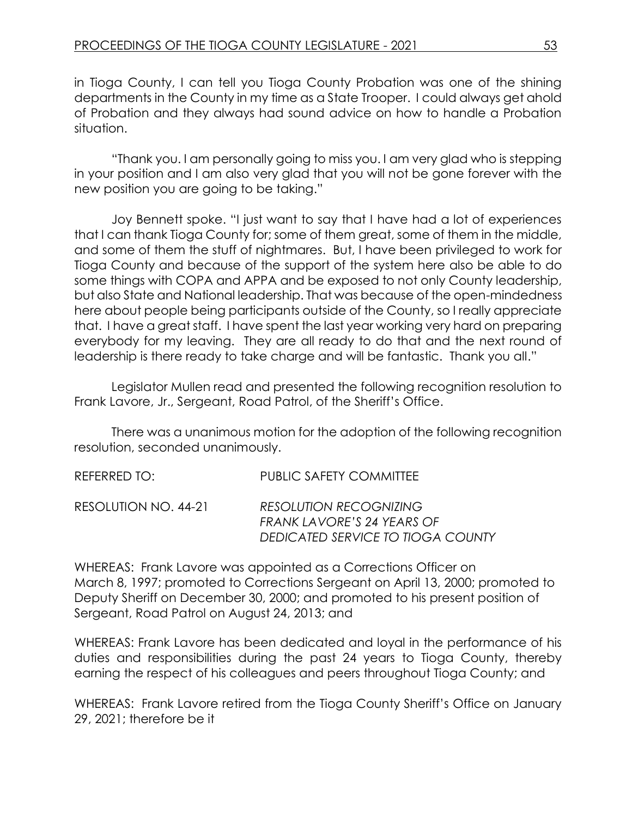in Tioga County, I can tell you Tioga County Probation was one of the shining departments in the County in my time as a State Trooper. I could always get ahold of Probation and they always had sound advice on how to handle a Probation situation.

"Thank you. I am personally going to miss you. I am very glad who is stepping in your position and I am also very glad that you will not be gone forever with the new position you are going to be taking."

Joy Bennett spoke. "I just want to say that I have had a lot of experiences that I can thank Tioga County for; some of them great, some of them in the middle, and some of them the stuff of nightmares. But, I have been privileged to work for Tioga County and because of the support of the system here also be able to do some things with COPA and APPA and be exposed to not only County leadership, but also State and National leadership. That was because of the open-mindedness here about people being participants outside of the County, so I really appreciate that. I have a great staff. I have spent the last year working very hard on preparing everybody for my leaving. They are all ready to do that and the next round of leadership is there ready to take charge and will be fantastic. Thank you all."

Legislator Mullen read and presented the following recognition resolution to Frank Lavore, Jr., Sergeant, Road Patrol, of the Sheriff's Office.

There was a unanimous motion for the adoption of the following recognition resolution, seconded unanimously.

| REFERRED TO:         | <b>PUBLIC SAFETY COMMITTEE</b>                                                                   |
|----------------------|--------------------------------------------------------------------------------------------------|
| RESOLUTION NO. 44-21 | <b>RESOLUTION RECOGNIZING</b><br>FRANK LAVORE'S 24 YEARS OF<br>DEDICATED SERVICE TO TIOGA COUNTY |

WHEREAS: Frank Lavore was appointed as a Corrections Officer on March 8, 1997; promoted to Corrections Sergeant on April 13, 2000; promoted to Deputy Sheriff on December 30, 2000; and promoted to his present position of Sergeant, Road Patrol on August 24, 2013; and

WHEREAS: Frank Lavore has been dedicated and loyal in the performance of his duties and responsibilities during the past 24 years to Tioga County, thereby earning the respect of his colleagues and peers throughout Tioga County; and

WHEREAS: Frank Lavore retired from the Tioga County Sheriff's Office on January 29, 2021; therefore be it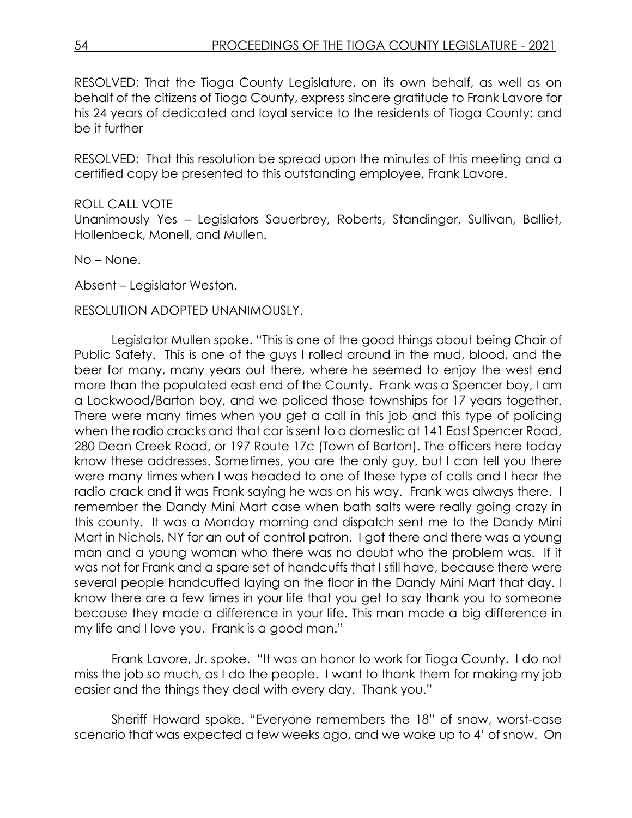RESOLVED: That the Tioga County Legislature, on its own behalf, as well as on behalf of the citizens of Tioga County, express sincere gratitude to Frank Lavore for his 24 years of dedicated and loyal service to the residents of Tioga County; and be it further

RESOLVED: That this resolution be spread upon the minutes of this meeting and a certified copy be presented to this outstanding employee, Frank Lavore.

#### ROLL CALL VOTE

Unanimously Yes – Legislators Sauerbrey, Roberts, Standinger, Sullivan, Balliet, Hollenbeck, Monell, and Mullen.

No – None.

Absent – Legislator Weston.

#### RESOLUTION ADOPTED UNANIMOUSLY.

Legislator Mullen spoke. "This is one of the good things about being Chair of Public Safety. This is one of the guys I rolled around in the mud, blood, and the beer for many, many years out there, where he seemed to enjoy the west end more than the populated east end of the County. Frank was a Spencer boy, I am a Lockwood/Barton boy, and we policed those townships for 17 years together. There were many times when you get a call in this job and this type of policing when the radio cracks and that car is sent to a domestic at 141 East Spencer Road, 280 Dean Creek Road, or 197 Route 17c (Town of Barton). The officers here today know these addresses. Sometimes, you are the only guy, but I can tell you there were many times when I was headed to one of these type of calls and I hear the radio crack and it was Frank saying he was on his way. Frank was always there. I remember the Dandy Mini Mart case when bath salts were really going crazy in this county. It was a Monday morning and dispatch sent me to the Dandy Mini Mart in Nichols, NY for an out of control patron. I got there and there was a young man and a young woman who there was no doubt who the problem was. If it was not for Frank and a spare set of handcuffs that I still have, because there were several people handcuffed laying on the floor in the Dandy Mini Mart that day. I know there are a few times in your life that you get to say thank you to someone because they made a difference in your life. This man made a big difference in my life and I love you. Frank is a good man."

Frank Lavore, Jr. spoke. "It was an honor to work for Tioga County. I do not miss the job so much, as I do the people. I want to thank them for making my job easier and the things they deal with every day. Thank you."

Sheriff Howard spoke. "Everyone remembers the 18" of snow, worst-case scenario that was expected a few weeks ago, and we woke up to 4' of snow. On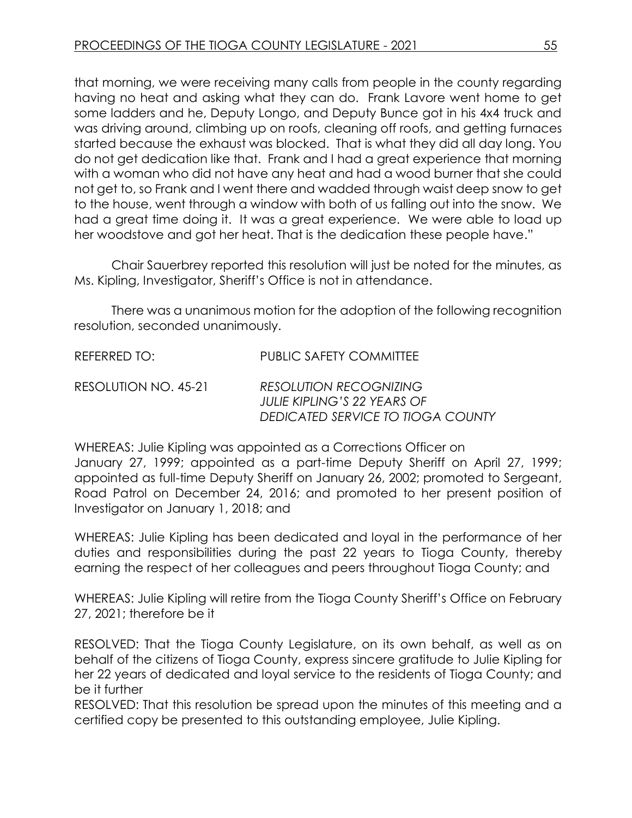that morning, we were receiving many calls from people in the county regarding having no heat and asking what they can do. Frank Lavore went home to get some ladders and he, Deputy Longo, and Deputy Bunce got in his 4x4 truck and was driving around, climbing up on roofs, cleaning off roofs, and getting furnaces started because the exhaust was blocked. That is what they did all day long. You do not get dedication like that. Frank and I had a great experience that morning with a woman who did not have any heat and had a wood burner that she could not get to, so Frank and I went there and wadded through waist deep snow to get to the house, went through a window with both of us falling out into the snow. We had a great time doing it. It was a great experience. We were able to load up her woodstove and got her heat. That is the dedication these people have."

Chair Sauerbrey reported this resolution will just be noted for the minutes, as Ms. Kipling, Investigator, Sheriff's Office is not in attendance.

There was a unanimous motion for the adoption of the following recognition resolution, seconded unanimously.

| REFERRED TO:         | <b>PUBLIC SAFETY COMMITTEE</b>                                                                    |
|----------------------|---------------------------------------------------------------------------------------------------|
| RESOLUTION NO. 45-21 | <b>RESOLUTION RECOGNIZING</b><br>JULIE KIPLING'S 22 YEARS OF<br>DEDICATED SERVICE TO TIOGA COUNTY |

WHEREAS: Julie Kipling was appointed as a Corrections Officer on January 27, 1999; appointed as a part-time Deputy Sheriff on April 27, 1999; appointed as full-time Deputy Sheriff on January 26, 2002; promoted to Sergeant, Road Patrol on December 24, 2016; and promoted to her present position of Investigator on January 1, 2018; and

WHEREAS: Julie Kipling has been dedicated and loyal in the performance of her duties and responsibilities during the past 22 years to Tioga County, thereby earning the respect of her colleagues and peers throughout Tioga County; and

WHEREAS: Julie Kipling will retire from the Tioga County Sheriff's Office on February 27, 2021; therefore be it

RESOLVED: That the Tioga County Legislature, on its own behalf, as well as on behalf of the citizens of Tioga County, express sincere gratitude to Julie Kipling for her 22 years of dedicated and loyal service to the residents of Tioga County; and be it further

RESOLVED: That this resolution be spread upon the minutes of this meeting and a certified copy be presented to this outstanding employee, Julie Kipling.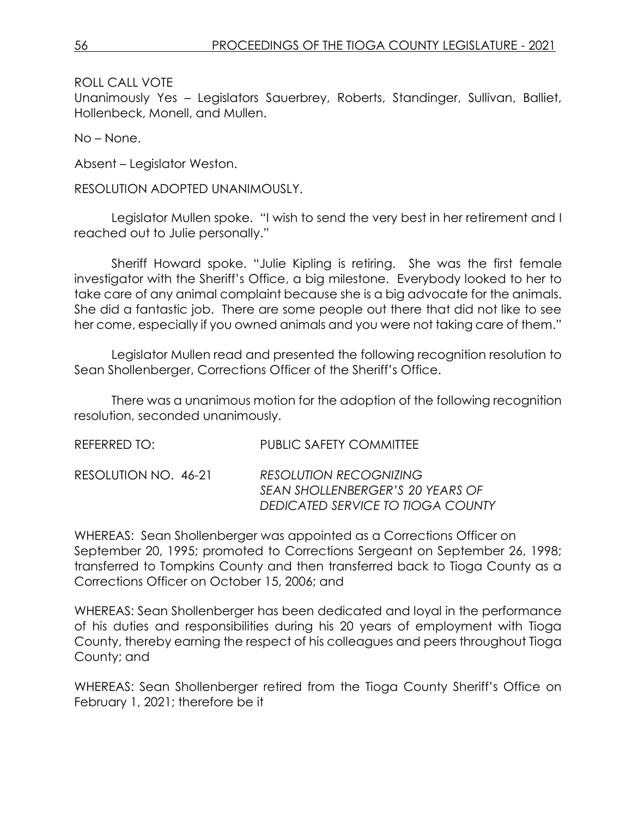ROLL CALL VOTE

Unanimously Yes – Legislators Sauerbrey, Roberts, Standinger, Sullivan, Balliet, Hollenbeck, Monell, and Mullen.

No – None.

Absent – Legislator Weston.

RESOLUTION ADOPTED UNANIMOUSLY.

Legislator Mullen spoke. "I wish to send the very best in her retirement and I reached out to Julie personally."

Sheriff Howard spoke. "Julie Kipling is retiring. She was the first female investigator with the Sheriff's Office, a big milestone. Everybody looked to her to take care of any animal complaint because she is a big advocate for the animals. She did a fantastic job. There are some people out there that did not like to see her come, especially if you owned animals and you were not taking care of them."

Legislator Mullen read and presented the following recognition resolution to Sean Shollenberger, Corrections Officer of the Sheriff's Office.

There was a unanimous motion for the adoption of the following recognition resolution, seconded unanimously.

| REFERRED TO:         | <b>PUBLIC SAFETY COMMITTEE</b>                                                                         |
|----------------------|--------------------------------------------------------------------------------------------------------|
| RESOLUTION NO. 46-21 | <b>RESOLUTION RECOGNIZING</b><br>SEAN SHOLLENBERGER'S 20 YEARS OF<br>DEDICATED SERVICE TO TIOGA COUNTY |

WHEREAS: Sean Shollenberger was appointed as a Corrections Officer on September 20, 1995; promoted to Corrections Sergeant on September 26, 1998; transferred to Tompkins County and then transferred back to Tioga County as a Corrections Officer on October 15, 2006; and

WHEREAS: Sean Shollenberger has been dedicated and loyal in the performance of his duties and responsibilities during his 20 years of employment with Tioga County, thereby earning the respect of his colleagues and peers throughout Tioga County; and

WHEREAS: Sean Shollenberger retired from the Tioga County Sheriff's Office on February 1, 2021; therefore be it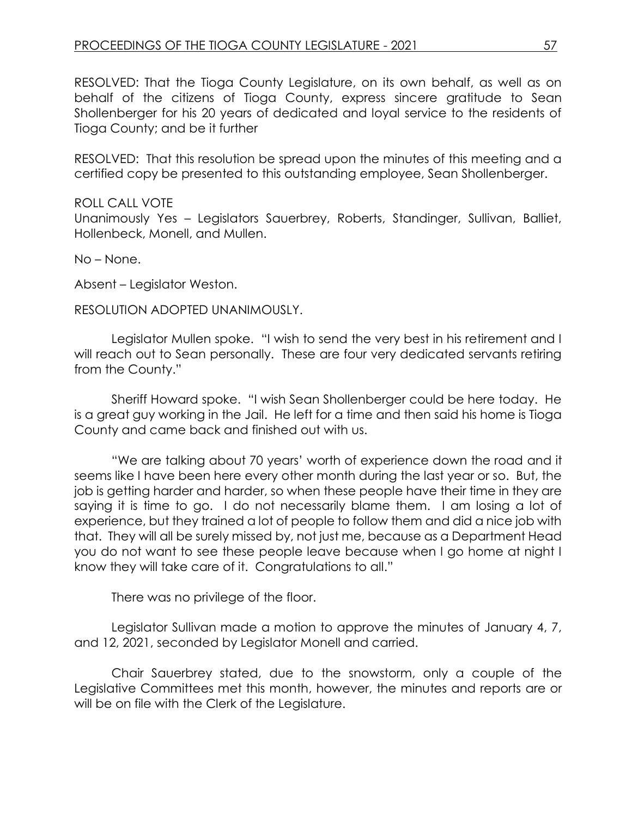RESOLVED: That the Tioga County Legislature, on its own behalf, as well as on behalf of the citizens of Tioga County, express sincere gratitude to Sean Shollenberger for his 20 years of dedicated and loyal service to the residents of Tioga County; and be it further

RESOLVED: That this resolution be spread upon the minutes of this meeting and a certified copy be presented to this outstanding employee, Sean Shollenberger.

#### ROLL CALL VOTE

Unanimously Yes – Legislators Sauerbrey, Roberts, Standinger, Sullivan, Balliet, Hollenbeck, Monell, and Mullen.

No – None.

Absent – Legislator Weston.

#### RESOLUTION ADOPTED UNANIMOUSLY.

Legislator Mullen spoke. "I wish to send the very best in his retirement and I will reach out to Sean personally. These are four very dedicated servants retiring from the County."

Sheriff Howard spoke. "I wish Sean Shollenberger could be here today. He is a great guy working in the Jail. He left for a time and then said his home is Tioga County and came back and finished out with us.

"We are talking about 70 years' worth of experience down the road and it seems like I have been here every other month during the last year or so. But, the job is getting harder and harder, so when these people have their time in they are saying it is time to go. I do not necessarily blame them. I am losing a lot of experience, but they trained a lot of people to follow them and did a nice job with that. They will all be surely missed by, not just me, because as a Department Head you do not want to see these people leave because when I go home at night I know they will take care of it. Congratulations to all."

There was no privilege of the floor.

Legislator Sullivan made a motion to approve the minutes of January 4, 7, and 12, 2021, seconded by Legislator Monell and carried.

Chair Sauerbrey stated, due to the snowstorm, only a couple of the Legislative Committees met this month, however, the minutes and reports are or will be on file with the Clerk of the Legislature.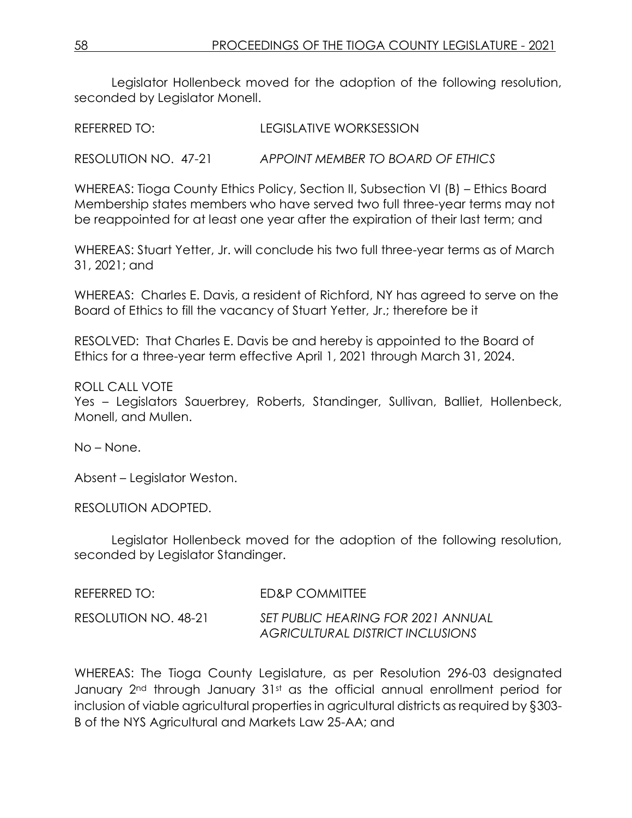Legislator Hollenbeck moved for the adoption of the following resolution, seconded by Legislator Monell.

REFERRED TO: LEGISLATIVE WORKSESSION

RESOLUTION NO. 47-21 *APPOINT MEMBER TO BOARD OF ETHICS*

WHEREAS: Tioga County Ethics Policy, Section II, Subsection VI (B) – Ethics Board Membership states members who have served two full three-year terms may not be reappointed for at least one year after the expiration of their last term; and

WHEREAS: Stuart Yetter, Jr. will conclude his two full three-year terms as of March 31, 2021; and

WHEREAS: Charles E. Davis, a resident of Richford, NY has agreed to serve on the Board of Ethics to fill the vacancy of Stuart Yetter, Jr.; therefore be it

RESOLVED: That Charles E. Davis be and hereby is appointed to the Board of Ethics for a three-year term effective April 1, 2021 through March 31, 2024.

ROLL CALL VOTE

Yes – Legislators Sauerbrey, Roberts, Standinger, Sullivan, Balliet, Hollenbeck, Monell, and Mullen.

No – None.

Absent – Legislator Weston.

RESOLUTION ADOPTED.

Legislator Hollenbeck moved for the adoption of the following resolution, seconded by Legislator Standinger.

| REFERRED TO: I       | <b>FD&amp;P COMMITTEE</b>                                              |
|----------------------|------------------------------------------------------------------------|
| RESOLUTION NO. 48-21 | SET PUBLIC HEARING FOR 2021 ANNUAL<br>AGRICULTURAL DISTRICT INCLUSIONS |

WHEREAS: The Tioga County Legislature, as per Resolution 296-03 designated January 2<sup>nd</sup> through January 31st as the official annual enrollment period for inclusion of viable agricultural properties in agricultural districts as required by §303- B of the NYS Agricultural and Markets Law 25-AA; and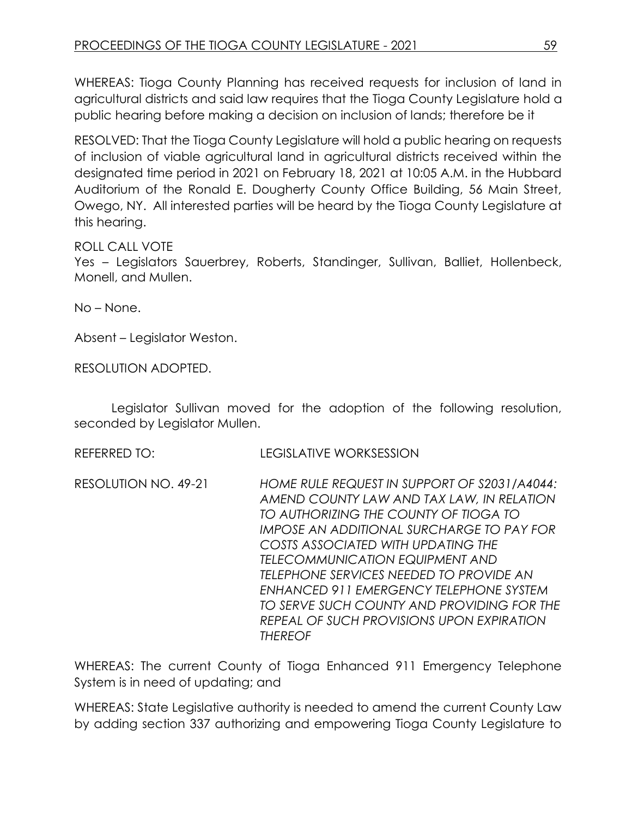WHEREAS: Tioga County Planning has received requests for inclusion of land in agricultural districts and said law requires that the Tioga County Legislature hold a public hearing before making a decision on inclusion of lands; therefore be it

RESOLVED: That the Tioga County Legislature will hold a public hearing on requests of inclusion of viable agricultural land in agricultural districts received within the designated time period in 2021 on February 18, 2021 at 10:05 A.M. in the Hubbard Auditorium of the Ronald E. Dougherty County Office Building, 56 Main Street, Owego, NY. All interested parties will be heard by the Tioga County Legislature at this hearing.

ROLL CALL VOTE

Yes – Legislators Sauerbrey, Roberts, Standinger, Sullivan, Balliet, Hollenbeck, Monell, and Mullen.

No – None.

Absent – Legislator Weston.

RESOLUTION ADOPTED.

Legislator Sullivan moved for the adoption of the following resolution, seconded by Legislator Mullen.

REFERRED TO: LEGISLATIVE WORKSESSION

RESOLUTION NO. 49-21 *HOME RULE REQUEST IN SUPPORT OF S2031/A4044: AMEND COUNTY LAW AND TAX LAW, IN RELATION TO AUTHORIZING THE COUNTY OF TIOGA TO IMPOSE AN ADDITIONAL SURCHARGE TO PAY FOR COSTS ASSOCIATED WITH UPDATING THE TELECOMMUNICATION EQUIPMENT AND TELEPHONE SERVICES NEEDED TO PROVIDE AN ENHANCED 911 EMERGENCY TELEPHONE SYSTEM TO SERVE SUCH COUNTY AND PROVIDING FOR THE REPEAL OF SUCH PROVISIONS UPON EXPIRATION THEREOF*

WHEREAS: The current County of Tioga Enhanced 911 Emergency Telephone System is in need of updating; and

WHEREAS: State Legislative authority is needed to amend the current County Law by adding section 337 authorizing and empowering Tioga County Legislature to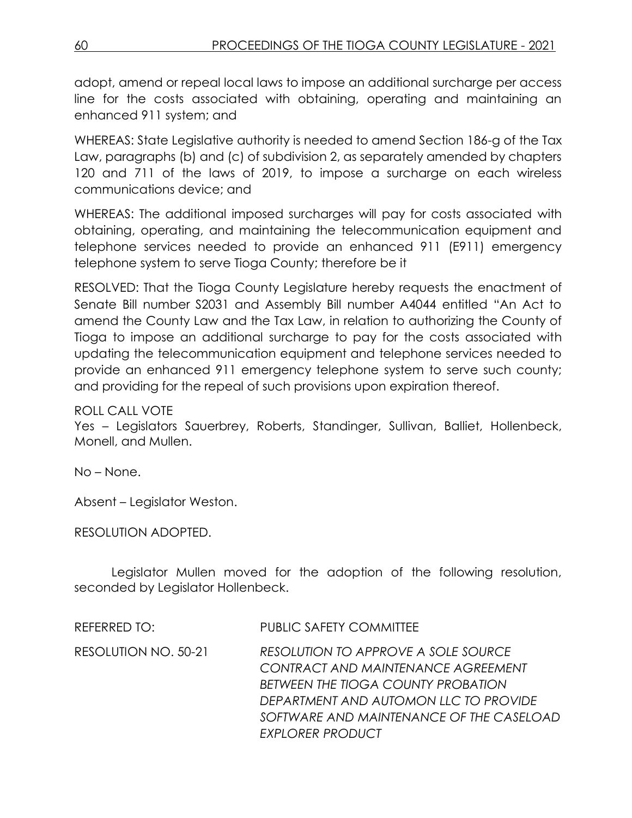adopt, amend or repeal local laws to impose an additional surcharge per access line for the costs associated with obtaining, operating and maintaining an enhanced 911 system; and

WHEREAS: State Legislative authority is needed to amend Section 186-g of the Tax Law, paragraphs (b) and (c) of subdivision 2, as separately amended by chapters 120 and 711 of the laws of 2019, to impose a surcharge on each wireless communications device; and

WHEREAS: The additional imposed surcharges will pay for costs associated with obtaining, operating, and maintaining the telecommunication equipment and telephone services needed to provide an enhanced 911 (E911) emergency telephone system to serve Tioga County; therefore be it

RESOLVED: That the Tioga County Legislature hereby requests the enactment of Senate Bill number S2031 and Assembly Bill number A4044 entitled "An Act to amend the County Law and the Tax Law, in relation to authorizing the County of Tioga to impose an additional surcharge to pay for the costs associated with updating the telecommunication equipment and telephone services needed to provide an enhanced 911 emergency telephone system to serve such county; and providing for the repeal of such provisions upon expiration thereof.

## ROLL CALL VOTE

Yes – Legislators Sauerbrey, Roberts, Standinger, Sullivan, Balliet, Hollenbeck, Monell, and Mullen.

No – None.

Absent – Legislator Weston.

RESOLUTION ADOPTED.

Legislator Mullen moved for the adoption of the following resolution, seconded by Legislator Hollenbeck.

| REFERRED TO:         | <b>PUBLIC SAFETY COMMITTEE</b>                                                                                                                                                                                                  |
|----------------------|---------------------------------------------------------------------------------------------------------------------------------------------------------------------------------------------------------------------------------|
| RESOLUTION NO. 50-21 | RESOLUTION TO APPROVE A SOLE SOURCE<br>CONTRACT AND MAINTENANCE AGREEMENT<br>BETWEEN THE TIOGA COUNTY PROBATION<br>DEPARTMENT AND AUTOMON LLC TO PROVIDE<br>SOFTWARE AND MAINTENANCE OF THE CASELOAD<br><b>EXPLORER PRODUCT</b> |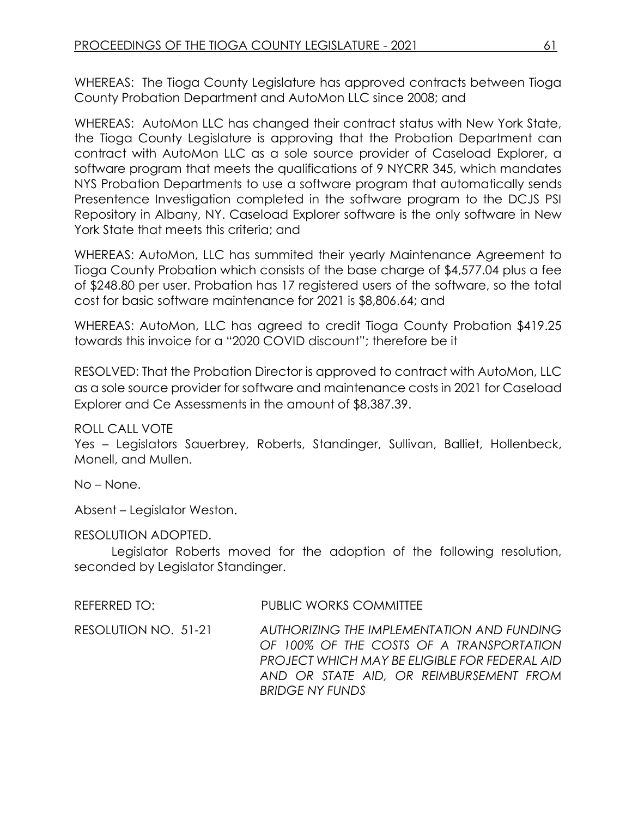WHEREAS: The Tioga County Legislature has approved contracts between Tioga County Probation Department and AutoMon LLC since 2008; and

WHEREAS: AutoMon LLC has changed their contract status with New York State, the Tioga County Legislature is approving that the Probation Department can contract with AutoMon LLC as a sole source provider of Caseload Explorer, a software program that meets the qualifications of 9 NYCRR 345, which mandates NYS Probation Departments to use a software program that automatically sends Presentence Investigation completed in the software program to the DCJS PSI Repository in Albany, NY. Caseload Explorer software is the only software in New York State that meets this criteria; and

WHEREAS: AutoMon, LLC has summited their yearly Maintenance Agreement to Tioga County Probation which consists of the base charge of \$4,577.04 plus a fee of \$248.80 per user. Probation has 17 registered users of the software, so the total cost for basic software maintenance for 2021 is \$8,806.64; and

WHEREAS: AutoMon, LLC has agreed to credit Tioga County Probation \$419.25 towards this invoice for a "2020 COVID discount"; therefore be it

RESOLVED: That the Probation Director is approved to contract with AutoMon, LLC as a sole source provider for software and maintenance costs in 2021 for Caseload Explorer and Ce Assessments in the amount of \$8,387.39.

ROLL CALL VOTE

Yes – Legislators Sauerbrey, Roberts, Standinger, Sullivan, Balliet, Hollenbeck, Monell, and Mullen.

No – None.

Absent – Legislator Weston.

## RESOLUTION ADOPTED.

Legislator Roberts moved for the adoption of the following resolution, seconded by Legislator Standinger.

REFERRED TO: PUBLIC WORKS COMMITTEE

RESOLUTION NO. 51-21 *AUTHORIZING THE IMPLEMENTATION AND FUNDING OF 100% OF THE COSTS OF A TRANSPORTATION PROJECT WHICH MAY BE ELIGIBLE FOR FEDERAL AID AND OR STATE AID, OR REIMBURSEMENT FROM BRIDGE NY FUNDS*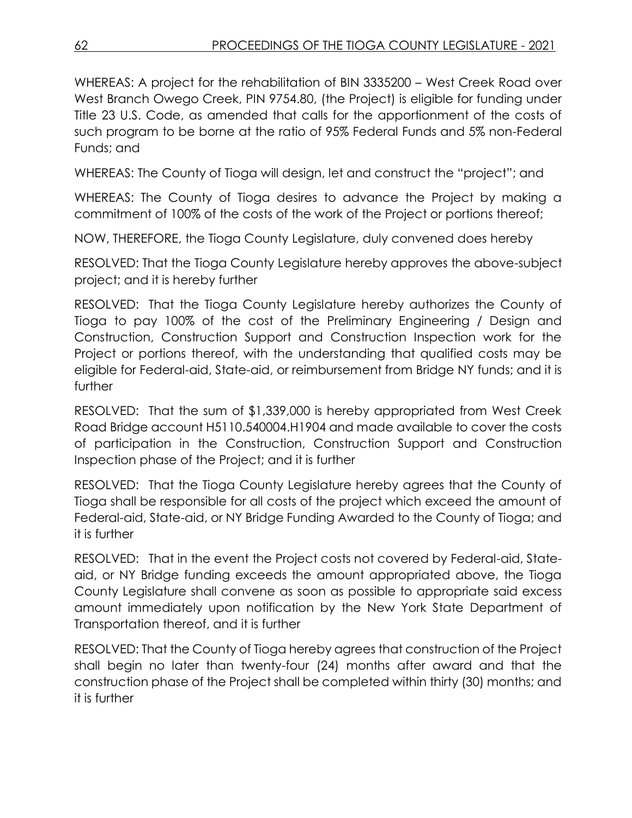WHEREAS: A project for the rehabilitation of BIN 3335200 – West Creek Road over West Branch Owego Creek, PIN 9754.80, (the Project) is eligible for funding under Title 23 U.S. Code, as amended that calls for the apportionment of the costs of such program to be borne at the ratio of 95% Federal Funds and 5% non-Federal Funds; and

WHEREAS: The County of Tioga will design, let and construct the "project"; and

WHEREAS: The County of Tioga desires to advance the Project by making a commitment of 100% of the costs of the work of the Project or portions thereof;

NOW, THEREFORE, the Tioga County Legislature, duly convened does hereby

RESOLVED: That the Tioga County Legislature hereby approves the above-subject project; and it is hereby further

RESOLVED: That the Tioga County Legislature hereby authorizes the County of Tioga to pay 100% of the cost of the Preliminary Engineering / Design and Construction, Construction Support and Construction Inspection work for the Project or portions thereof, with the understanding that qualified costs may be eligible for Federal-aid, State-aid, or reimbursement from Bridge NY funds; and it is further

RESOLVED: That the sum of \$1,339,000 is hereby appropriated from West Creek Road Bridge account H5110.540004.H1904 and made available to cover the costs of participation in the Construction, Construction Support and Construction Inspection phase of the Project; and it is further

RESOLVED: That the Tioga County Legislature hereby agrees that the County of Tioga shall be responsible for all costs of the project which exceed the amount of Federal-aid, State-aid, or NY Bridge Funding Awarded to the County of Tioga; and it is further

RESOLVED: That in the event the Project costs not covered by Federal-aid, Stateaid, or NY Bridge funding exceeds the amount appropriated above, the Tioga County Legislature shall convene as soon as possible to appropriate said excess amount immediately upon notification by the New York State Department of Transportation thereof, and it is further

RESOLVED: That the County of Tioga hereby agrees that construction of the Project shall begin no later than twenty-four (24) months after award and that the construction phase of the Project shall be completed within thirty (30) months; and it is further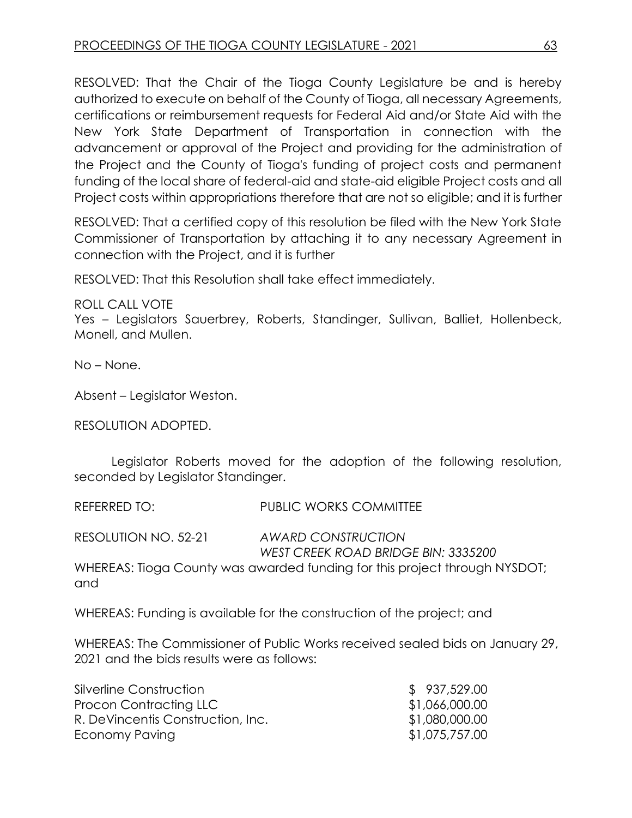RESOLVED: That the Chair of the Tioga County Legislature be and is hereby authorized to execute on behalf of the County of Tioga, all necessary Agreements, certifications or reimbursement requests for Federal Aid and/or State Aid with the New York State Department of Transportation in connection with the advancement or approval of the Project and providing for the administration of the Project and the County of Tioga's funding of project costs and permanent funding of the local share of federal-aid and state-aid eligible Project costs and all Project costs within appropriations therefore that are not so eligible; and it is further

RESOLVED: That a certified copy of this resolution be filed with the New York State Commissioner of Transportation by attaching it to any necessary Agreement in connection with the Project, and it is further

RESOLVED: That this Resolution shall take effect immediately.

ROLL CALL VOTE Yes – Legislators Sauerbrey, Roberts, Standinger, Sullivan, Balliet, Hollenbeck, Monell, and Mullen.

No – None.

Absent – Legislator Weston.

RESOLUTION ADOPTED.

Legislator Roberts moved for the adoption of the following resolution, seconded by Legislator Standinger.

REFERRED TO: PUBLIC WORKS COMMITTEE

RESOLUTION NO. 52-21 *AWARD CONSTRUCTION WEST CREEK ROAD BRIDGE BIN: 3335200* 

WHEREAS: Tioga County was awarded funding for this project through NYSDOT; and

WHEREAS: Funding is available for the construction of the project; and

WHEREAS: The Commissioner of Public Works received sealed bids on January 29, 2021 and the bids results were as follows:

| \$937,529.00   |
|----------------|
| \$1,066,000.00 |
| \$1,080,000.00 |
| \$1,075,757.00 |
|                |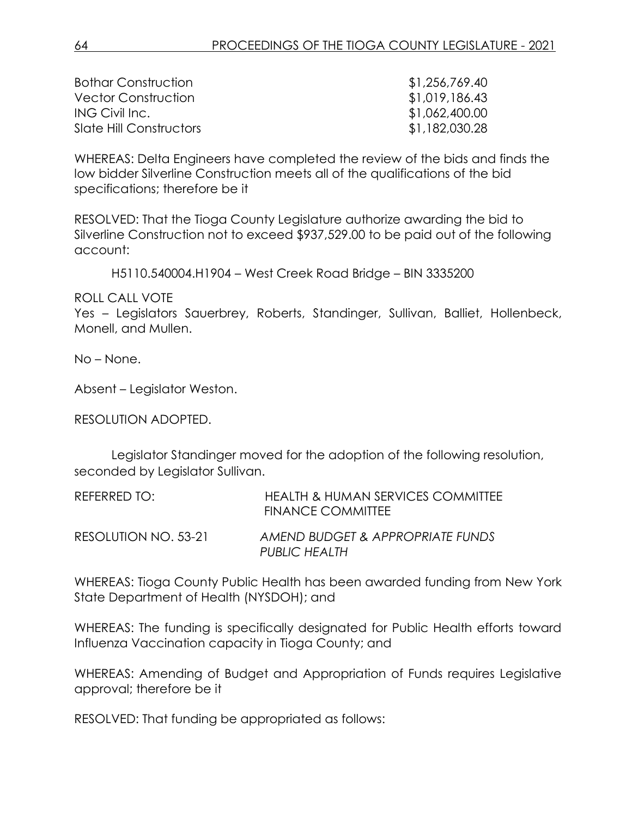| <b>Bothar Construction</b> | \$1,256,769.40 |
|----------------------------|----------------|
| <b>Vector Construction</b> | \$1,019,186.43 |
| ING Civil Inc.             | \$1,062,400.00 |
| Slate Hill Constructors    | \$1,182,030.28 |

WHEREAS: Delta Engineers have completed the review of the bids and finds the low bidder Silverline Construction meets all of the qualifications of the bid specifications; therefore be it

RESOLVED: That the Tioga County Legislature authorize awarding the bid to Silverline Construction not to exceed \$937,529.00 to be paid out of the following account:

H5110.540004.H1904 – West Creek Road Bridge – BIN 3335200

ROLL CALL VOTE

Yes – Legislators Sauerbrey, Roberts, Standinger, Sullivan, Balliet, Hollenbeck, Monell, and Mullen.

No – None.

Absent – Legislator Weston.

RESOLUTION ADOPTED.

Legislator Standinger moved for the adoption of the following resolution, seconded by Legislator Sullivan.

| REFERRED TO:         | HEALTH & HUMAN SERVICES COMMITTEE<br>FINANCE COMMITTEE |
|----------------------|--------------------------------------------------------|
| RESOLUTION NO. 53-21 | AMEND BUDGET & APPROPRIATE FUNDS<br>PUBLIC HEALTH      |

WHEREAS: Tioga County Public Health has been awarded funding from New York State Department of Health (NYSDOH); and

WHEREAS: The funding is specifically designated for Public Health efforts toward Influenza Vaccination capacity in Tioga County; and

WHEREAS: Amending of Budget and Appropriation of Funds requires Legislative approval; therefore be it

RESOLVED: That funding be appropriated as follows: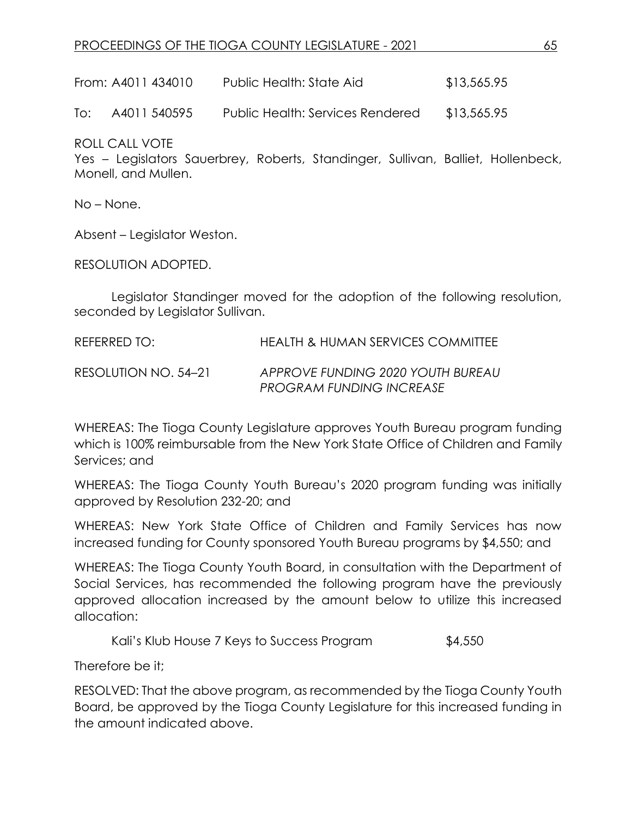## PROCEEDINGS OF THE TIOGA COUNTY LEGISLATURE - 2021 65

From: A4011 434010 Public Health: State Aid \$13,565.95

To: A4011 540595 Public Health: Services Rendered \$13,565.95

ROLL CALL VOTE

Yes – Legislators Sauerbrey, Roberts, Standinger, Sullivan, Balliet, Hollenbeck, Monell, and Mullen.

No – None.

Absent – Legislator Weston.

RESOLUTION ADOPTED.

Legislator Standinger moved for the adoption of the following resolution, seconded by Legislator Sullivan.

REFERRED TO: HEALTH & HUMAN SERVICES COMMITTEE RESOLUTION NO. 54–21 *APPROVE FUNDING 2020 YOUTH BUREAU PROGRAM FUNDING INCREASE*

WHEREAS: The Tioga County Legislature approves Youth Bureau program funding which is 100% reimbursable from the New York State Office of Children and Family Services; and

WHEREAS: The Tioga County Youth Bureau's 2020 program funding was initially approved by Resolution 232-20; and

WHEREAS: New York State Office of Children and Family Services has now increased funding for County sponsored Youth Bureau programs by \$4,550; and

WHEREAS: The Tioga County Youth Board, in consultation with the Department of Social Services, has recommended the following program have the previously approved allocation increased by the amount below to utilize this increased allocation:

Kali's Klub House 7 Keys to Success Program \$4,550

Therefore be it;

RESOLVED: That the above program, as recommended by the Tioga County Youth Board, be approved by the Tioga County Legislature for this increased funding in the amount indicated above.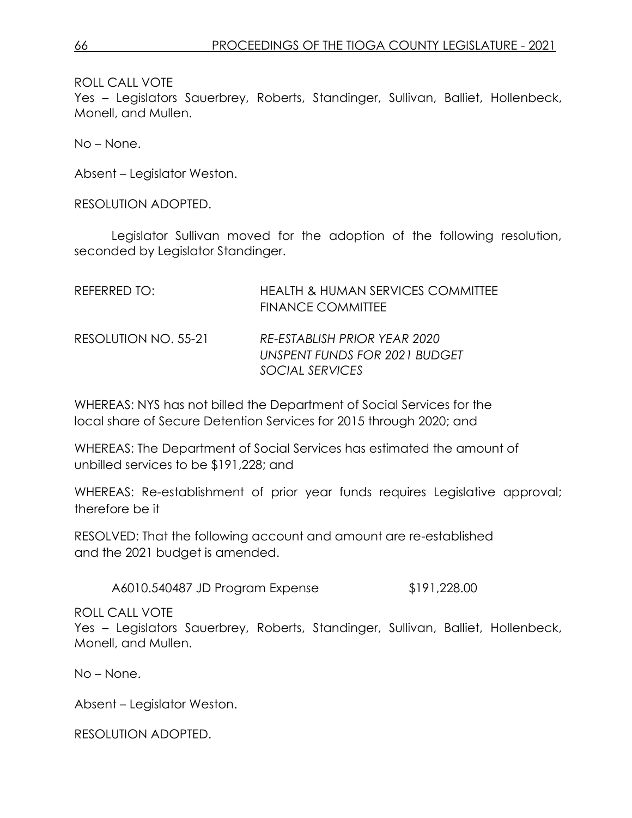ROLL CALL VOTE

Yes – Legislators Sauerbrey, Roberts, Standinger, Sullivan, Balliet, Hollenbeck, Monell, and Mullen.

No – None.

Absent – Legislator Weston.

RESOLUTION ADOPTED.

Legislator Sullivan moved for the adoption of the following resolution, seconded by Legislator Standinger.

| REFERRED TO:         | <b>HEALTH &amp; HUMAN SERVICES COMMITTEE</b><br><b>FINANCE COMMITTEE</b>         |
|----------------------|----------------------------------------------------------------------------------|
| RESOLUTION NO. 55-21 | RE-ESTABLISH PRIOR YEAR 2020<br>UNSPENT FUNDS FOR 2021 BUDGET<br>SOCIAL SERVICES |

WHEREAS: NYS has not billed the Department of Social Services for the local share of Secure Detention Services for 2015 through 2020; and

WHEREAS: The Department of Social Services has estimated the amount of unbilled services to be \$191,228; and

WHEREAS: Re-establishment of prior year funds requires Legislative approval; therefore be it

RESOLVED: That the following account and amount are re-established and the 2021 budget is amended.

A6010.540487 JD Program Expense \$191,228.00

ROLL CALL VOTE

Yes – Legislators Sauerbrey, Roberts, Standinger, Sullivan, Balliet, Hollenbeck, Monell, and Mullen.

No – None.

Absent – Legislator Weston.

RESOLUTION ADOPTED.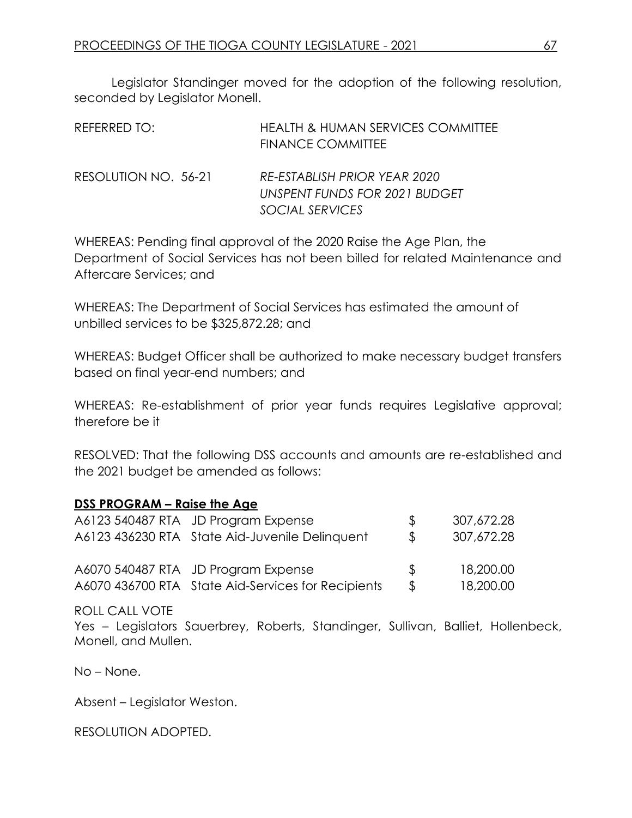Legislator Standinger moved for the adoption of the following resolution, seconded by Legislator Monell.

| REFERRED TO:         | <b>HEALTH &amp; HUMAN SERVICES COMMITTEE</b><br><b>FINANCE COMMITTEE</b>         |
|----------------------|----------------------------------------------------------------------------------|
| RESOLUTION NO. 56-21 | RE-ESTABLISH PRIOR YEAR 2020<br>UNSPENT FUNDS FOR 2021 BUDGET<br>SOCIAL SERVICES |

WHEREAS: Pending final approval of the 2020 Raise the Age Plan, the Department of Social Services has not been billed for related Maintenance and Aftercare Services; and

WHEREAS: The Department of Social Services has estimated the amount of unbilled services to be \$325,872.28; and

WHEREAS: Budget Officer shall be authorized to make necessary budget transfers based on final year-end numbers; and

WHEREAS: Re-establishment of prior year funds requires Legislative approval; therefore be it

RESOLVED: That the following DSS accounts and amounts are re-established and the 2021 budget be amended as follows:

## **DSS PROGRAM – Raise the Age**

| A6123 540487 RTA JD Program Expense                | $\mathcal{R}$ | 307,672.28 |
|----------------------------------------------------|---------------|------------|
| A6123 436230 RTA State Aid-Juvenile Delinquent     | $\mathcal{R}$ | 307,672.28 |
| A6070 540487 RTA JD Program Expense                | $\mathcal{R}$ | 18,200.00  |
| A6070 436700 RTA State Aid-Services for Recipients | $\mathcal{L}$ | 18,200.00  |

## ROLL CALL VOTE

Yes – Legislators Sauerbrey, Roberts, Standinger, Sullivan, Balliet, Hollenbeck, Monell, and Mullen.

No – None.

Absent – Legislator Weston.

RESOLUTION ADOPTED.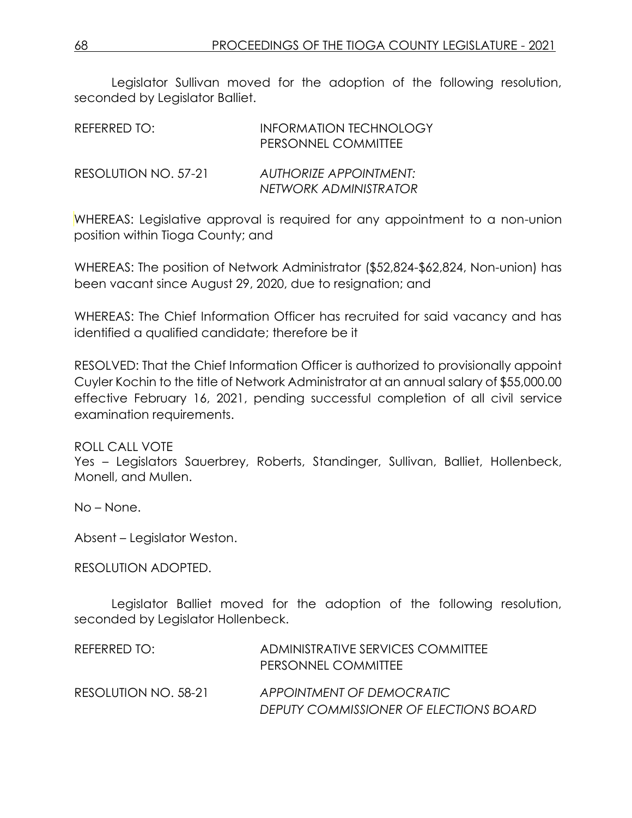Legislator Sullivan moved for the adoption of the following resolution, seconded by Legislator Balliet.

| REFERRED TO:         | <b>INFORMATION TECHNOLOGY</b><br>PERSONNEL COMMITTEE   |
|----------------------|--------------------------------------------------------|
| RESOLUTION NO. 57-21 | <b>AUTHORIZE APPOINTMENT:</b><br>NETWORK ADMINISTRATOR |

WHEREAS: Legislative approval is required for any appointment to a non-union position within Tioga County; and

WHEREAS: The position of Network Administrator (\$52,824-\$62,824, Non-union) has been vacant since August 29, 2020, due to resignation; and

WHEREAS: The Chief Information Officer has recruited for said vacancy and has identified a qualified candidate; therefore be it

RESOLVED: That the Chief Information Officer is authorized to provisionally appoint Cuyler Kochin to the title of Network Administrator at an annual salary of \$55,000.00 effective February 16, 2021, pending successful completion of all civil service examination requirements.

## ROLL CALL VOTE

Yes – Legislators Sauerbrey, Roberts, Standinger, Sullivan, Balliet, Hollenbeck, Monell, and Mullen.

No – None.

Absent – Legislator Weston.

RESOLUTION ADOPTED.

Legislator Balliet moved for the adoption of the following resolution, seconded by Legislator Hollenbeck.

| REFERRED TO:         | ADMINISTRATIVE SERVICES COMMITTEE<br>PERSONNEL COMMITTEE            |
|----------------------|---------------------------------------------------------------------|
| RESOLUTION NO. 58-21 | APPOINTMENT OF DEMOCRATIC<br>DEPUTY COMMISSIONER OF ELECTIONS BOARD |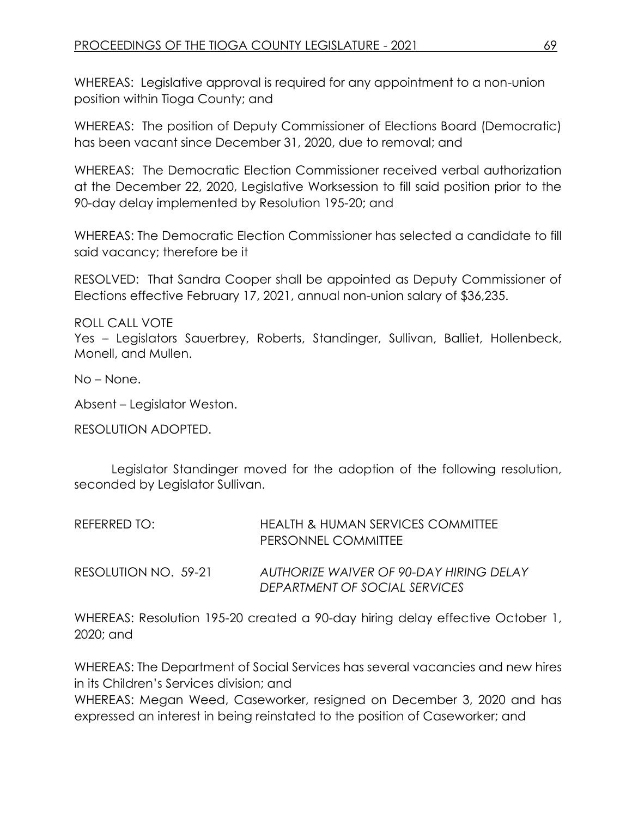WHEREAS: Legislative approval is required for any appointment to a non-union position within Tioga County; and

WHEREAS: The position of Deputy Commissioner of Elections Board (Democratic) has been vacant since December 31, 2020, due to removal; and

WHEREAS: The Democratic Election Commissioner received verbal authorization at the December 22, 2020, Legislative Worksession to fill said position prior to the 90-day delay implemented by Resolution 195-20; and

WHEREAS: The Democratic Election Commissioner has selected a candidate to fill said vacancy; therefore be it

RESOLVED: That Sandra Cooper shall be appointed as Deputy Commissioner of Elections effective February 17, 2021, annual non-union salary of \$36,235.

ROLL CALL VOTE Yes – Legislators Sauerbrey, Roberts, Standinger, Sullivan, Balliet, Hollenbeck, Monell, and Mullen.

No – None.

Absent – Legislator Weston.

RESOLUTION ADOPTED.

Legislator Standinger moved for the adoption of the following resolution, seconded by Legislator Sullivan.

| REFERRED TO:         | HEALTH & HUMAN SERVICES COMMITTEE<br>PERSONNEL COMMITTEE                 |
|----------------------|--------------------------------------------------------------------------|
| RESOLUTION NO. 59-21 | AUTHORIZE WAIVER OF 90-DAY HIRING DELAY<br>DEPARTMENT OF SOCIAL SERVICES |

WHEREAS: Resolution 195-20 created a 90-day hiring delay effective October 1, 2020; and

WHEREAS: The Department of Social Services has several vacancies and new hires in its Children's Services division; and WHEREAS: Megan Weed, Caseworker, resigned on December 3, 2020 and has

expressed an interest in being reinstated to the position of Caseworker; and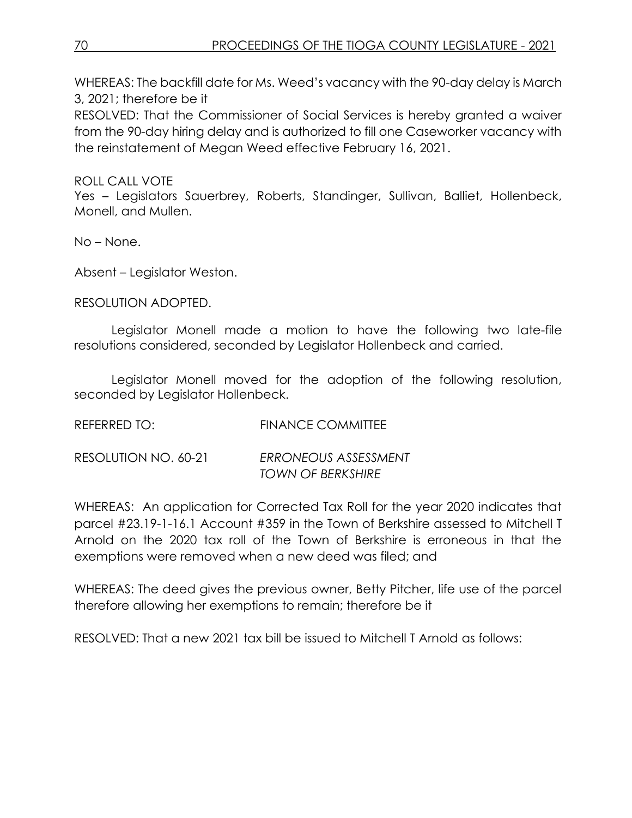WHEREAS: The backfill date for Ms. Weed's vacancy with the 90-day delay is March 3, 2021; therefore be it

RESOLVED: That the Commissioner of Social Services is hereby granted a waiver from the 90-day hiring delay and is authorized to fill one Caseworker vacancy with the reinstatement of Megan Weed effective February 16, 2021.

## ROLL CALL VOTE

Yes – Legislators Sauerbrey, Roberts, Standinger, Sullivan, Balliet, Hollenbeck, Monell, and Mullen.

No – None.

Absent – Legislator Weston.

RESOLUTION ADOPTED.

Legislator Monell made a motion to have the following two late-file resolutions considered, seconded by Legislator Hollenbeck and carried.

Legislator Monell moved for the adoption of the following resolution, seconded by Legislator Hollenbeck.

REFERRED TO: FINANCE COMMITTEE

RESOLUTION NO. 60-21 *ERRONEOUS ASSESSMENT TOWN OF BERKSHIRE*

WHEREAS: An application for Corrected Tax Roll for the year 2020 indicates that parcel #23.19-1-16.1 Account #359 in the Town of Berkshire assessed to Mitchell T Arnold on the 2020 tax roll of the Town of Berkshire is erroneous in that the exemptions were removed when a new deed was filed; and

WHEREAS: The deed gives the previous owner, Betty Pitcher, life use of the parcel therefore allowing her exemptions to remain; therefore be it

RESOLVED: That a new 2021 tax bill be issued to Mitchell T Arnold as follows: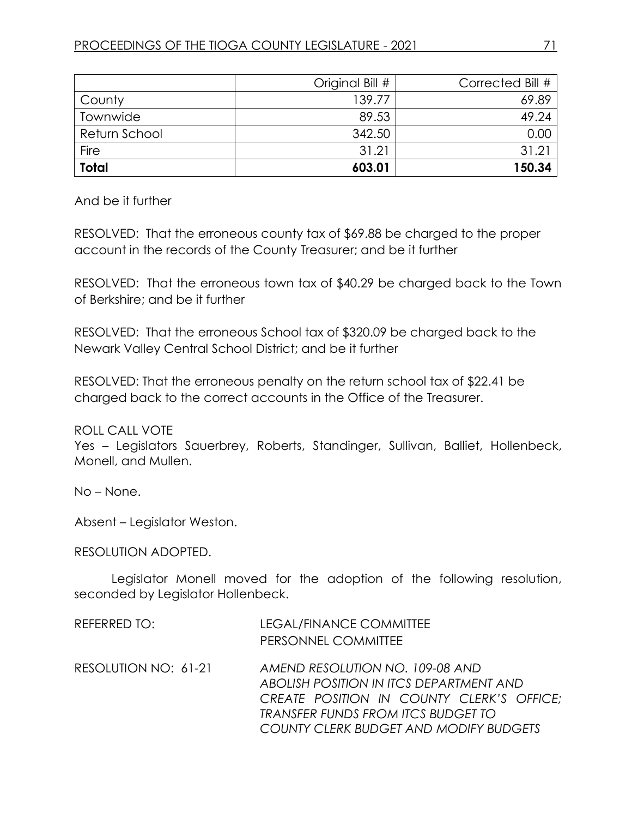|               | Original Bill # | Corrected Bill # |
|---------------|-----------------|------------------|
| County        | 139.77          | 69.89            |
| Townwide      | 89.53           | 49.24            |
| Return School | 342.50          | 0.00             |
| <b>Fire</b>   | 31.21           | 31.21            |
| <b>Total</b>  | 603.01          | 150.34           |

And be it further

RESOLVED: That the erroneous county tax of \$69.88 be charged to the proper account in the records of the County Treasurer; and be it further

RESOLVED: That the erroneous town tax of \$40.29 be charged back to the Town of Berkshire; and be it further

RESOLVED: That the erroneous School tax of \$320.09 be charged back to the Newark Valley Central School District; and be it further

RESOLVED: That the erroneous penalty on the return school tax of \$22.41 be charged back to the correct accounts in the Office of the Treasurer.

ROLL CALL VOTE

Yes – Legislators Sauerbrey, Roberts, Standinger, Sullivan, Balliet, Hollenbeck, Monell, and Mullen.

No – None.

Absent – Legislator Weston.

## RESOLUTION ADOPTED.

Legislator Monell moved for the adoption of the following resolution, seconded by Legislator Hollenbeck.

| REFERRED TO:         | LEGAL/FINANCE COMMITTEE<br>PERSONNEL COMMITTEE                                                                                                                                                                 |
|----------------------|----------------------------------------------------------------------------------------------------------------------------------------------------------------------------------------------------------------|
| RESOLUTION NO: 61-21 | AMEND RESOLUTION NO. 109-08 AND<br>ABOLISH POSITION IN ITCS DEPARTMENT AND<br>CREATE POSITION IN COUNTY CLERK'S OFFICE;<br>TRANSFER FUNDS FROM ITCS BUDGET TO<br><b>COUNTY CLERK BUDGET AND MODIFY BUDGETS</b> |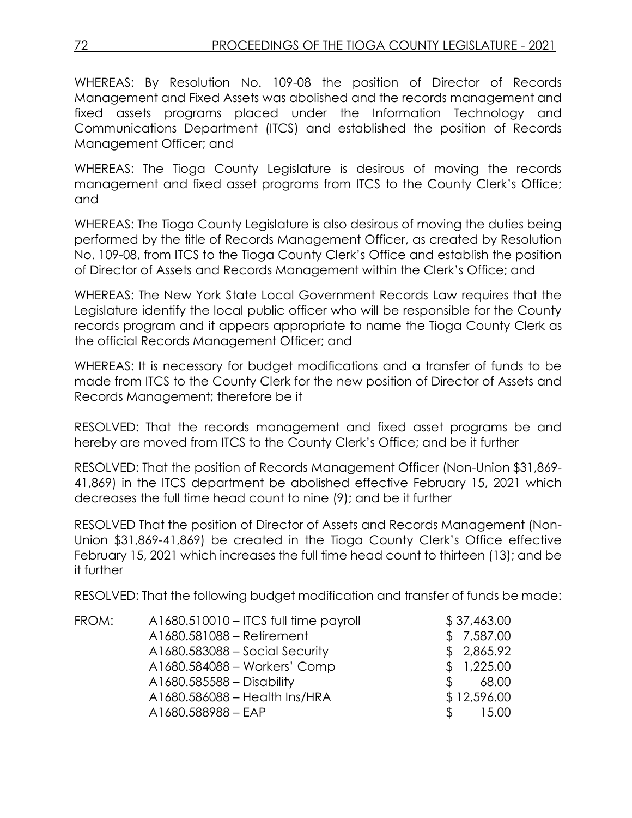WHEREAS: By Resolution No. 109-08 the position of Director of Records Management and Fixed Assets was abolished and the records management and fixed assets programs placed under the Information Technology and Communications Department (ITCS) and established the position of Records Management Officer; and

WHEREAS: The Tioga County Legislature is desirous of moving the records management and fixed asset programs from ITCS to the County Clerk's Office; and

WHEREAS: The Tioga County Legislature is also desirous of moving the duties being performed by the title of Records Management Officer, as created by Resolution No. 109-08, from ITCS to the Tioga County Clerk's Office and establish the position of Director of Assets and Records Management within the Clerk's Office; and

WHEREAS: The New York State Local Government Records Law requires that the Legislature identify the local public officer who will be responsible for the County records program and it appears appropriate to name the Tioga County Clerk as the official Records Management Officer; and

WHEREAS: It is necessary for budget modifications and a transfer of funds to be made from ITCS to the County Clerk for the new position of Director of Assets and Records Management; therefore be it

RESOLVED: That the records management and fixed asset programs be and hereby are moved from ITCS to the County Clerk's Office; and be it further

RESOLVED: That the position of Records Management Officer (Non-Union \$31,869- 41,869) in the ITCS department be abolished effective February 15, 2021 which decreases the full time head count to nine (9); and be it further

RESOLVED That the position of Director of Assets and Records Management (Non-Union \$31,869-41,869) be created in the Tioga County Clerk's Office effective February 15, 2021 which increases the full time head count to thirteen (13); and be it further

RESOLVED: That the following budget modification and transfer of funds be made:

| FROM: | A1680.510010 - ITCS full time payroll |               | \$37,463.00 |
|-------|---------------------------------------|---------------|-------------|
|       | A1680.581088 - Retirement             |               | \$7,587.00  |
|       | A1680.583088 - Social Security        |               | \$2,865.92  |
|       | A1680.584088 - Workers' Comp          |               | \$1,225.00  |
|       | A1680.585588 - Disability             | <sup>\$</sup> | 68.00       |
|       | A1680.586088 - Health Ins/HRA         |               | \$12,596.00 |
|       | A1680.588988 - EAP                    | Ж.            | 15.00       |